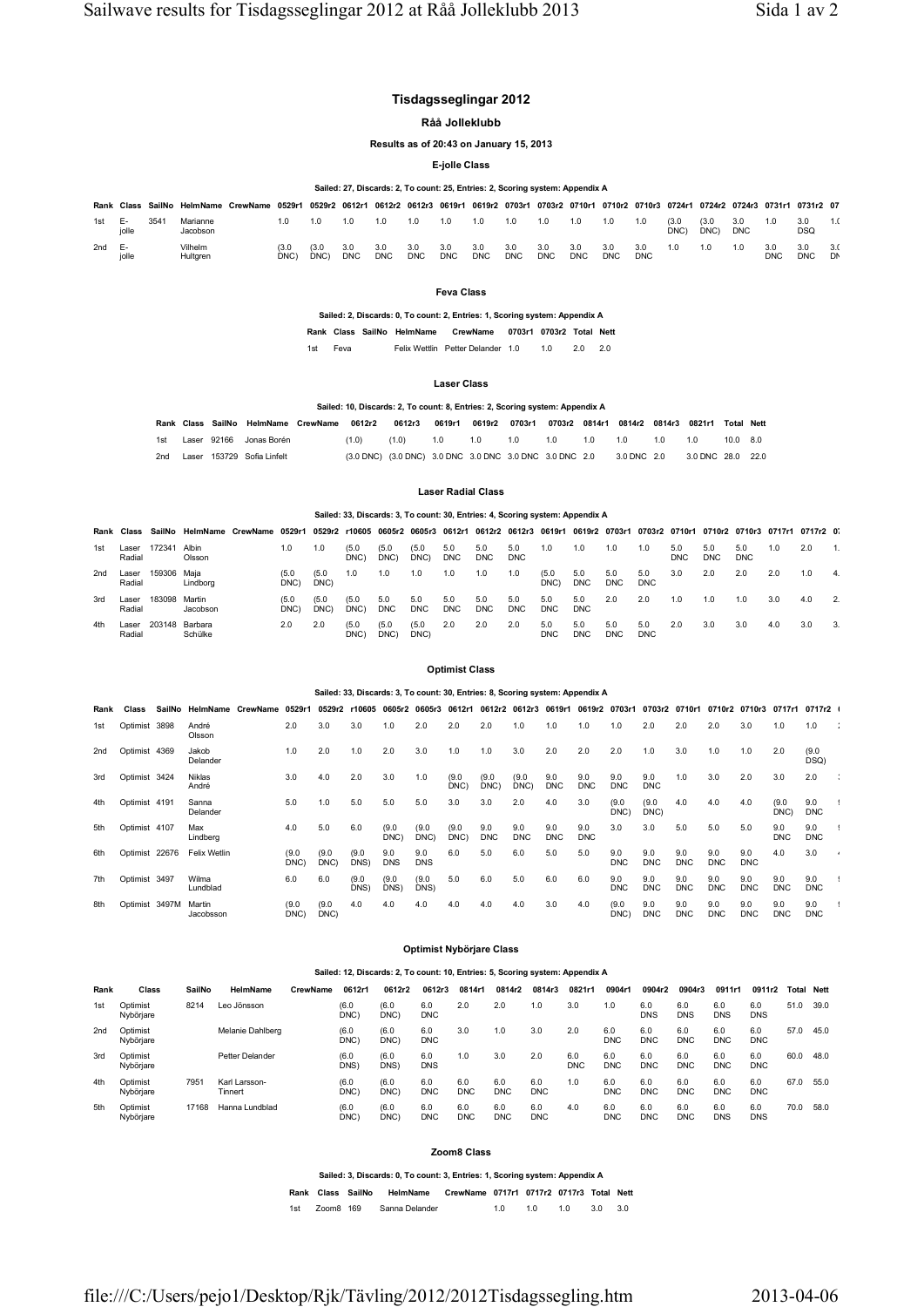# **Tisdagsseglingar 2012**

**Råå Jolleklubb**

**Results as of 20:43 on January 15, 2013**

**E-jolle Class**

## **Sailed: 27, Discards: 2, To count: 25, Entries: 2, Scoring system: Appendix A**

| Rank | Class       | SailNo | HelmName             | CrewName 0529r1 |              | 0529r2 0612r1 |                   |                   |                   |                   | 0612r2 0612r3 0619r1 0619r2 0703r1 |                   |                   |                   | 0703r2 0710r1 0710r2 0710r3 0724r1 0724r2 0724r3 0731r1 0731r2 07 |                   |              |               |                   |                   |            |    |
|------|-------------|--------|----------------------|-----------------|--------------|---------------|-------------------|-------------------|-------------------|-------------------|------------------------------------|-------------------|-------------------|-------------------|-------------------------------------------------------------------|-------------------|--------------|---------------|-------------------|-------------------|------------|----|
| 1st  | ь.<br>jolle | 354    | Marianne<br>Jacobson |                 | $\Omega$     | 1.0           | 1.0               | 1.0               | 1.0               | 1.0               | 0.1                                | 1.0               | 1.0               | 1.0               | 1.0                                                               | 1.0               | (3.0<br>DNC) | (3.0)<br>DNC) | 3.0<br><b>DNC</b> | 1.0               | 3.0<br>DSQ |    |
| 2nd  | ь.<br>jolle |        | Vilhelm<br>Hultgren  |                 | (3.0<br>DNC) | (3.0)<br>DNC) | 3.0<br><b>DNC</b> | 3.0<br><b>DNC</b> | 3.0<br><b>DNC</b> | 3.0<br><b>DNC</b> | 3.0<br><b>DNC</b>                  | 3.0<br><b>DNC</b> | 3.0<br><b>DNC</b> | 3.0<br><b>DNC</b> | 3.0<br>DNC                                                        | 3.0<br><b>DNC</b> | 1.0          | 1.0           | 1.0               | 3.0<br><b>DNC</b> | <b>DNC</b> | D١ |

**Feva Class**

**Sailed: 2, Discards: 0, To count: 2, Entries: 1, Scoring system: Appendix A**

**Rank Class SailNo HelmName CrewName 0703r1 0703r2 Total Nett** 1st Feva Felix Wettlin Petter Delander 1.0 1.0 2.0 2.0

# **Laser Class**

### **Sailed: 10, Discards: 2, To count: 8, Entries: 2, Scoring system: Appendix A**

|     |  | Rank Class SailNo HelmName CrewName 0612r2 0612r3 |       |                                                                                       |             | 0619r1 0619r2 0703r1 0703r2 0814r1 0814r2 0814r3 0821r1 Total Nett |             |  |     |     |          |  |
|-----|--|---------------------------------------------------|-------|---------------------------------------------------------------------------------------|-------------|--------------------------------------------------------------------|-------------|--|-----|-----|----------|--|
| 1st |  | Laser 92166 Jonas Borén                           | (1.0) | (1.0)                                                                                 | 1.0 1.0 1.0 |                                                                    | 1.0 1.0 1.0 |  | 1.0 | 1.0 | 10.0 8.0 |  |
| 2nd |  | Laser 153729 Sofia Linfelt                        |       | (3.0 DNC) (3.0 DNC) 3.0 DNC 3.0 DNC 3.0 DNC 3.0 DNC 2.0 3.0 DNC 2.0 3.0 DNC 28.0 22.0 |             |                                                                    |             |  |     |     |          |  |

### **Laser Radial Class**

# **Sailed: 33, Discards: 3, To count: 30, Entries: 4, Scoring system: Appendix A**

| Rank | Class           | SailNo      | HelmName           | CrewName | 0529r1       | 0529r2 r10605 0605r2 0605r3 0612r1 |               |                   |                   |                   |                   |                   |                   | 0612r2 0612r3 0619r1 0619r2 0703r1 0703r2 0710r1 |                   |                   |                   |                   | 0710r2 0710r3 0717r1 0717r2 0 |     |     |  |
|------|-----------------|-------------|--------------------|----------|--------------|------------------------------------|---------------|-------------------|-------------------|-------------------|-------------------|-------------------|-------------------|--------------------------------------------------|-------------------|-------------------|-------------------|-------------------|-------------------------------|-----|-----|--|
| 1st  | Laser<br>Radial | 17234       | Albin<br>Olsson    |          | 1.0          | 1.0                                | (5.0)<br>DNC: | (5.0)<br>DNC)     | (5.0)<br>DNC)     | 5.0<br><b>DNC</b> | 5.0<br><b>DNC</b> | 5.0<br><b>DNC</b> | 1.0               | 1.0                                              | 1.0               | I.O               | 5.0<br><b>DNC</b> | 5.0<br><b>DNC</b> | 5.0<br><b>DNC</b>             | 1.0 | 2.0 |  |
| 2nd  | Laser<br>Radial | 159306 Maja | Lindborg           |          | (5.0<br>DNC) | (5.0)<br>DNC)                      | 1.0           | 1.0               | 1.0               | I.O               | 1.0               | 1.0               | (5.0)<br>DNC)     | 5.0<br><b>DNC</b>                                | 5.0<br><b>DNC</b> | 5.0<br><b>DNC</b> | 3.0               | 2.0               | 2.0                           | 2.0 | 1.0 |  |
| 3rd  | Laser<br>Radial | 183098      | Martin<br>Jacobson |          | (5.0<br>DNC) | (5.0)<br>DNC)                      | (5.0)<br>DNC) | 5.0<br><b>DNC</b> | 5.0<br><b>DNC</b> | 5.0<br>DNC        | 5.0<br><b>DNC</b> | 5.0<br><b>DNC</b> | 5.0<br><b>DNC</b> | 5.0<br><b>DNC</b>                                | 2.0               | 2.0               | 1.O               | 1.0               | 1.0                           | 3.0 | 4.0 |  |
| 4th  | Laser<br>Radial | 203148      | Barbara<br>Schülke |          | 2.0          | 2.0                                | (5.0)<br>DNC' | (5.0)<br>DNC)     | (5.0)<br>DNC)     | 2.0               | 2.0               | 2.0               | 5.0<br><b>DNC</b> | 5.0<br><b>DNC</b>                                | 5.0<br><b>DNC</b> | 5.0<br>DNC        | 2.0               | 3.0               | 3.0                           | 4.0 | 3.0 |  |

#### **Optimist Class**

### **Sailed: 33, Discards: 3, To count: 30, Entries: 8, Scoring system: Appendix A**

| Rank            | Class          | SailNo | HelmName               | CrewName | 0529r1        | 0529r2        | r10605        | 0605r2            | 0605r3            | 0612r1        | 0612r2 0612r3     |                   | 0619r1            | 0619r2            | 0703r1            | 0703r2            | 0710r1            | 0710r2 0710r3     |                   | 0717r1            | 0717r2 l          |           |
|-----------------|----------------|--------|------------------------|----------|---------------|---------------|---------------|-------------------|-------------------|---------------|-------------------|-------------------|-------------------|-------------------|-------------------|-------------------|-------------------|-------------------|-------------------|-------------------|-------------------|-----------|
| 1st             | Optimist 3898  |        | André<br>Olsson        |          | 2.0           | 3.0           | 3.0           | 1.0               | 2.0               | 2.0           | 2.0               | 1.0               | 1.0               | 1.0               | 1.0               | 2.0               | 2.0               | 2.0               | 3.0               | 1.0               | 1.0               | $\cdot$ : |
| 2 <sub>nd</sub> | Optimist 4369  |        | Jakob<br>Delander      |          | 1.0           | 2.0           | 1.0           | 2.0               | 3.0               | 1.0           | 1.0               | 3.0               | 2.0               | 2.0               | 2.0               | 1.0               | 3.0               | 1.0               | 1.0               | 2.0               | (9.0)<br>DSQ)     |           |
| 3rd             | Optimist 3424  |        | <b>Niklas</b><br>André |          | 3.0           | 4.0           | 2.0           | 3.0               | 1.0               | (9.0)<br>DNC) | (9.0)<br>DNC)     | (9.0)<br>DNC)     | 9.0<br><b>DNC</b> | 9.0<br><b>DNC</b> | 9.0<br><b>DNC</b> | 9.0<br><b>DNC</b> | 1.0               | 3.0               | 2.0               | 3.0               | 2.0               | $\sim$    |
| 4th             | Optimist 4191  |        | Sanna<br>Delander      |          | 5.0           | 1.0           | 5.0           | 5.0               | 5.0               | 3.0           | 3.0               | 2.0               | 4.0               | 3.0               | (9.0)<br>DNC)     | (9.0)<br>DNC)     | 4.0               | 4.0               | 4.0               | (9.0)<br>DNC)     | 9.0<br><b>DNC</b> |           |
| 5th             | Optimist 4107  |        | Max<br>Lindberg        |          | 4.0           | 5.0           | 6.0           | (9.0)<br>DNC)     | (9.0)<br>DNC)     | (9.0)<br>DNC) | 9.0<br><b>DNC</b> | 9.0<br><b>DNC</b> | 9.0<br><b>DNC</b> | 9.0<br><b>DNC</b> | 3.0               | 3.0               | 5.0               | 5.0               | 5.0               | 9.0<br><b>DNC</b> | 9.0<br><b>DNC</b> |           |
| 6th             | Optimist 22676 |        | Felix Wetlin           |          | (9.0)<br>DNC) | (9.0)<br>DNC) | (9.0)<br>DNS) | 9.0<br><b>DNS</b> | 9.0<br><b>DNS</b> | 6.0           | 5.0               | 6.0               | 5.0               | 5.0               | 9.0<br><b>DNC</b> | 9.0<br><b>DNC</b> | 9.0<br><b>DNC</b> | 9.0<br><b>DNC</b> | 9.0<br><b>DNC</b> | 4.0               | 3.0               |           |
| 7th             | Optimist 3497  |        | Wilma<br>Lundblad      |          | 6.0           | 6.0           | (9.0)<br>DNS) | (9.0)<br>DNS)     | (9.0)<br>DNS)     | 5.0           | 6.0               | 5.0               | 6.0               | 6.0               | 9.0<br><b>DNC</b> | 9.0<br><b>DNC</b> | 9.0<br><b>DNC</b> | 9.0<br><b>DNC</b> | 9.0<br><b>DNC</b> | 9.0<br><b>DNC</b> | 9.0<br><b>DNC</b> |           |
| 8th             | Optimist 3497M |        | Martin<br>Jacobsson    |          | (9.0)<br>DNC) | (9.0)<br>DNC) | 4.0           | 4.0               | 4.0               | 4.0           | 4.0               | 4.0               | 3.0               | 4.0               | (9.0)<br>DNC)     | 9.0<br><b>DNC</b> | 9.0<br><b>DNC</b> | 9.0<br><b>DNC</b> | 9.0<br><b>DNC</b> | 9.0<br><b>DNC</b> | 9.0<br><b>DNC</b> |           |

#### **Optimist Nybörjare Class**

### **Sailed: 12, Discards: 2, To count: 10, Entries: 5, Scoring system: Appendix A**

| Rank            | Class                 | SailNo | HelmName                 | CrewName | 0612r1        | 0612r2        | 0612r3            | 0814r1            | 0814r2            | 0814r3            | 0821r1            | 0904r1            | 0904r2            | 0904r3            | 0911r1            | 0911r2            | Total | Nett |
|-----------------|-----------------------|--------|--------------------------|----------|---------------|---------------|-------------------|-------------------|-------------------|-------------------|-------------------|-------------------|-------------------|-------------------|-------------------|-------------------|-------|------|
| 1st             | Optimist<br>Nybörjare | 8214   | Leo Jönsson              |          | (6.0)<br>DNC) | (6.0)<br>DNC) | 6.0<br><b>DNC</b> | 2.0               | 2.0               | 1.0               | 3.0               | 1.0               | 6.0<br><b>DNS</b> | 6.0<br><b>DNS</b> | 6.0<br><b>DNS</b> | 6.0<br><b>DNS</b> | 51.0  | 39.0 |
| 2 <sub>nd</sub> | Optimist<br>Nybörjare |        | Melanie Dahlberg         |          | (6.0)<br>DNC) | (6.0)<br>DNC) | 6.0<br><b>DNC</b> | 3.0               | 1.0               | 3.0               | 2.0               | 6.0<br>DNC        | 6.0<br><b>DNC</b> | 6.0<br><b>DNC</b> | 6.0<br><b>DNC</b> | 6.0<br><b>DNC</b> | 57.0  | 45.0 |
| 3rd             | Optimist<br>Nybörjare |        | Petter Delander          |          | (6.0)<br>DNS) | (6.0)<br>DNS) | 6.0<br><b>DNS</b> | 1.0               | 3.0               | 2.0               | 6.0<br><b>DNC</b> | 6.0<br><b>DNC</b> | 6.0<br><b>DNC</b> | 6.0<br><b>DNC</b> | 6.0<br><b>DNC</b> | 6.0<br><b>DNC</b> | 60.0  | 48.0 |
| 4th             | Optimist<br>Nybörjare | 7951   | Karl Larsson-<br>Tinnert |          | (6.0)<br>DNC) | (6.0)<br>DNC) | 6.0<br><b>DNC</b> | 6.0<br><b>DNC</b> | 6.0<br><b>DNC</b> | 6.0<br><b>DNC</b> | 1.0               | 6.0<br><b>DNC</b> | 6.0<br><b>DNC</b> | 6.0<br><b>DNC</b> | 6.0<br><b>DNC</b> | 6.0<br><b>DNC</b> | 67.0  | 55.0 |
| 5th             | Optimist<br>Nybörjare | 17168  | Hanna Lundblad           |          | (6.0)<br>DNC) | (6.0)<br>DNC) | 6.0<br><b>DNC</b> | 6.0<br><b>DNC</b> | 6.0<br><b>DNC</b> | 6.0<br><b>DNC</b> | 4.0               | 6.0<br>DNC        | 6.0<br><b>DNC</b> | 6.0<br><b>DNC</b> | 6.0<br><b>DNS</b> | 6.0<br><b>DNS</b> | 70.0  | 58.0 |

### **Zoom8 Class**

**Sailed: 3, Discards: 0, To count: 3, Entries: 1, Scoring system: Appendix A Rank Class SailNo HelmName CrewName 0717r1 0717r2 0717r3 Total Nett** 1st Zoom8 169 Sanna Delander 1.0 1.0 1.0 3.0 3.0

file:///C:/Users/pejo1/Desktop/Rjk/Tävling/2012/2012Tisdagssegling.htm 2013-04-06